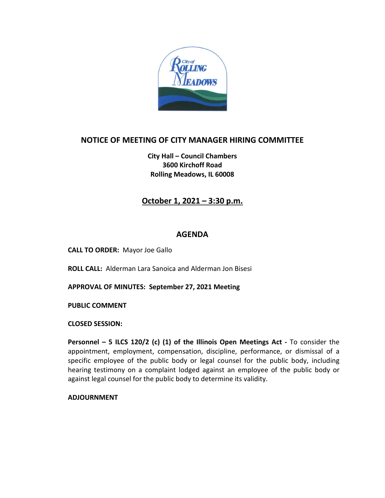

## **NOTICE OF MEETING OF CITY MANAGER HIRING COMMITTEE**

**City Hall – Council Chambers 3600 Kirchoff Road Rolling Meadows, IL 60008**

# **October 1, 2021 – 3:30 p.m.**

#### **AGENDA**

**CALL TO ORDER:** Mayor Joe Gallo

**ROLL CALL:** Alderman Lara Sanoica and Alderman Jon Bisesi

**APPROVAL OF MINUTES: September 27, 2021 Meeting**

**PUBLIC COMMENT** 

**CLOSED SESSION:**

**Personnel – 5 ILCS 120/2 (c) (1) of the Illinois Open Meetings Act -** To consider the appointment, employment, compensation, discipline, performance, or dismissal of a specific employee of the public body or legal counsel for the public body, including hearing testimony on a complaint lodged against an employee of the public body or against legal counsel for the public body to determine its validity.

**ADJOURNMENT**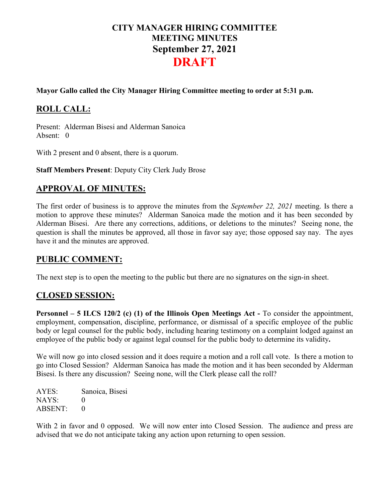# **CITY MANAGER HIRING COMMITTEE MEETING MINUTES September 27, 2021 DRAFT**

#### **Mayor Gallo called the City Manager Hiring Committee meeting to order at 5:31 p.m.**

# **ROLL CALL:**

Present: Alderman Bisesi and Alderman Sanoica Absent: 0

With 2 present and 0 absent, there is a quorum.

**Staff Members Present**: Deputy City Clerk Judy Brose

### **APPROVAL OF MINUTES:**

The first order of business is to approve the minutes from the *September 22, 2021* meeting. Is there a motion to approve these minutes? Alderman Sanoica made the motion and it has been seconded by Alderman Bisesi. Are there any corrections, additions, or deletions to the minutes? Seeing none, the question is shall the minutes be approved, all those in favor say aye; those opposed say nay. The ayes have it and the minutes are approved.

#### **PUBLIC COMMENT:**

The next step is to open the meeting to the public but there are no signatures on the sign-in sheet.

#### **CLOSED SESSION:**

**Personnel – 5 ILCS 120/2 (c) (1) of the Illinois Open Meetings Act -** To consider the appointment, employment, compensation, discipline, performance, or dismissal of a specific employee of the public body or legal counsel for the public body, including hearing testimony on a complaint lodged against an employee of the public body or against legal counsel for the public body to determine its validity**.**

We will now go into closed session and it does require a motion and a roll call vote. Is there a motion to go into Closed Session? Alderman Sanoica has made the motion and it has been seconded by Alderman Bisesi. Is there any discussion? Seeing none, will the Clerk please call the roll?

AYES: Sanoica, Bisesi NAYS: 0 ABSENT: 0

With 2 in favor and 0 opposed. We will now enter into Closed Session. The audience and press are advised that we do not anticipate taking any action upon returning to open session.